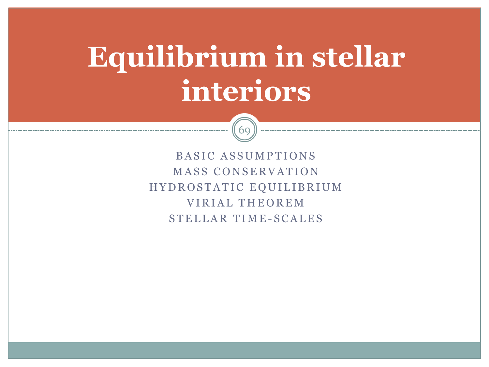# **Equilibrium in stellar interiors**



BASIC ASSUMPTIONS **MASS CONSERVATION** HYDROSTATIC EQUILIBRIUM VIRIAL THEOREM STELLAR TIME-SCALES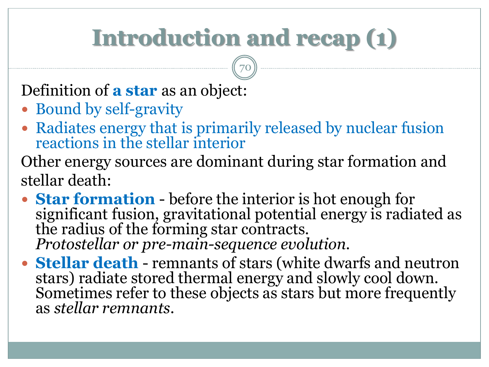## **Introduction and recap (1)**

70

Definition of **a star** as an object:

- Bound by self-gravity
- Radiates energy that is primarily released by nuclear fusion reactions in the stellar interior

Other energy sources are dominant during star formation and stellar death:

- **Star formation**  before the interior is hot enough for significant fusion, gravitational potential energy is radiated as the radius of the forming star contracts. *Protostellar or pre-main-sequence evolution.*
- **Stellar death**  remnants of stars (white dwarfs and neutron stars) radiate stored thermal energy and slowly cool down. Sometimes refer to these objects as stars but more frequently as *stellar remnants*.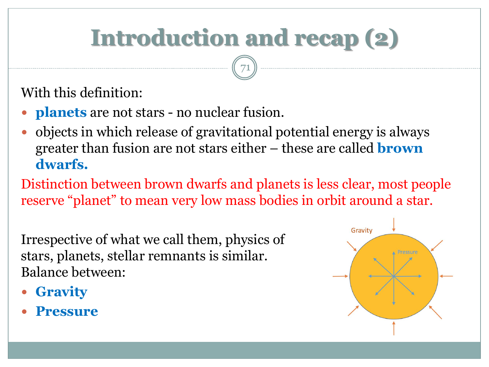# **Introduction and recap (2)**

71

#### With this definition:

- **planets** are not stars no nuclear fusion.
- objects in which release of gravitational potential energy is always greater than fusion are not stars either – these are called **brown dwarfs.**

Distinction between brown dwarfs and planets is less clear, most people reserve "planet" to mean very low mass bodies in orbit around a star.

Irrespective of what we call them, physics of stars, planets, stellar remnants is similar. Balance between:

- **Gravity**
- **Pressure**

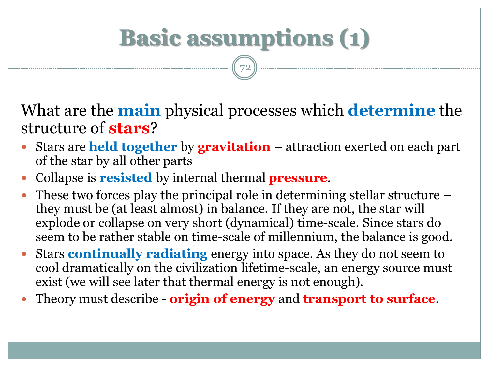# **Basic assumptions (1)**

72

What are the **main** physical processes which **determine** the structure of **stars**?

- Stars are **held together** by **gravitation** attraction exerted on each part of the star by all other parts
- Collapse is **resisted** by internal thermal **pressure**.
- These two forces play the principal role in determining stellar structure they must be (at least almost) in balance. If they are not, the star will explode or collapse on very short (dynamical) time-scale. Since stars do seem to be rather stable on time-scale of millennium, the balance is good.
- Stars **continually radiating** energy into space. As they do not seem to cool dramatically on the civilization lifetime-scale, an energy source must exist (we will see later that thermal energy is not enough).
- Theory must describe **origin of energy** and **transport to surface**.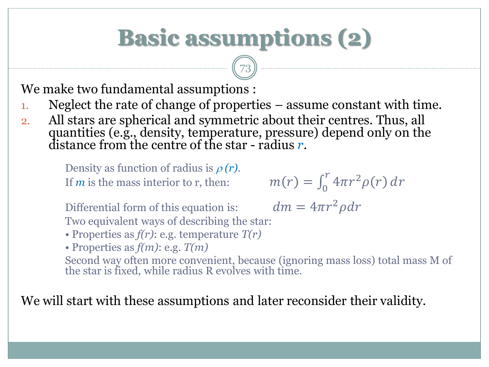## **Basic assumptions (2)**

 $\binom{73}{}$ 

We make two fundamental assumptions :

- 1. Neglect the rate of change of properties assume constant with time.
- 2. All stars are spherical and symmetric about their centres. Thus, all quantities (e.g., density, temperature, pressure) depend only on the distance from the centre of the star - radius *r*.

Density as function of radius is  $\rho(r)$ . If  *is the mass interior to*  $*r*$ *, then:* 

 $\int_{0}^{r} 4\pi r^{2} \rho(r) dr$ 

 $dm = 4\pi r^2 \rho dr$ 

Differential form of this equation is: Two equivalent ways of describing the star:

• Properties as *f(r)*: e.g. temperature *T(r)*

• Properties as *f(m)*: e.g. *T(m)*

Second way often more convenient, because (ignoring mass loss) total mass M of the star is fixed, while radius R evolves with time.

We will start with these assumptions and later reconsider their validity.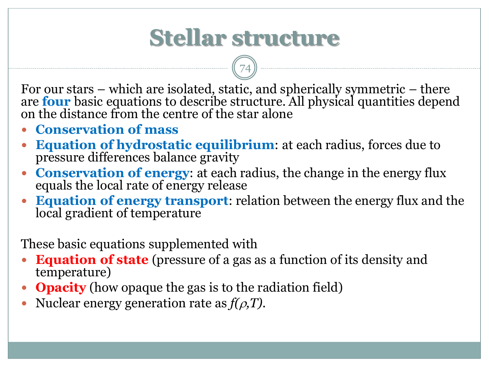#### **Stellar structure**

74

For our stars – which are isolated, static, and spherically symmetric – there are **four** basic equations to describe structure. All physical quantities depend on the distance from the centre of the star alone

- **Conservation of mass**
- **Equation of hydrostatic equilibrium**: at each radius, forces due to pressure differences balance gravity
- **Conservation of energy**: at each radius, the change in the energy flux equals the local rate of energy release
- **Equation of energy transport**: relation between the energy flux and the local gradient of temperature

These basic equations supplemented with

- **Equation of state** (pressure of a gas as a function of its density and temperature)
- **Opacity** (how opaque the gas is to the radiation field)
- Nuclear energy generation rate as  $f(\rho, T)$ .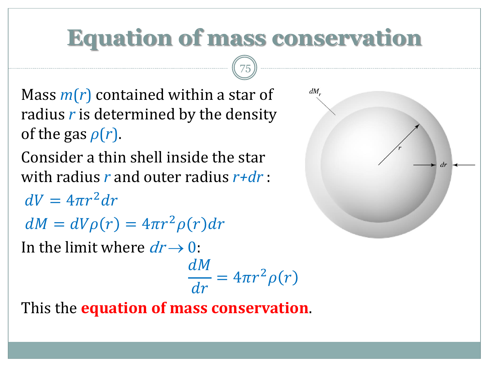### **Equation of mass conservation**

75

- Mass *m*(*r*) contained within a star of radius *r* is determined by the density of the gas  $\rho(r)$ .
- Consider a thin shell inside the star with radius *r* and outer radius *r+dr* :
- $dV = 4\pi r^2 dr$
- $dM = dV\rho(r) = 4\pi r^2 \rho(r) dr$
- In the limit where  $dr \rightarrow 0$ :

$$
\frac{dM}{dr} = 4\pi r^2 \rho(r)
$$

This the **equation of mass conservation**.

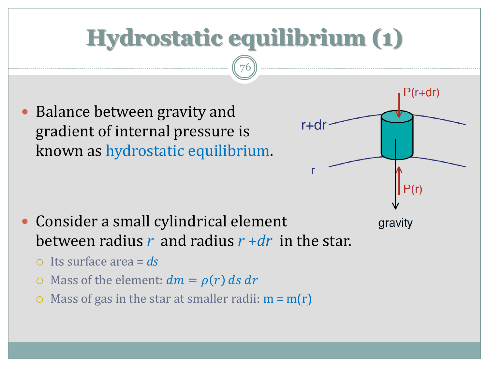## **Hydrostatic equilibrium (1)**

76

 $r + dr$ 

P(r+dr

 $P(r)$ 

gravity

 Balance between gravity and gradient of internal pressure is known as hydrostatic equilibrium.



- Its surface area = *ds*
- $\circ$  Mass of the element:  $dm = \rho(r) ds dr$
- Mass of gas in the star at smaller radii:  $m = m(r)$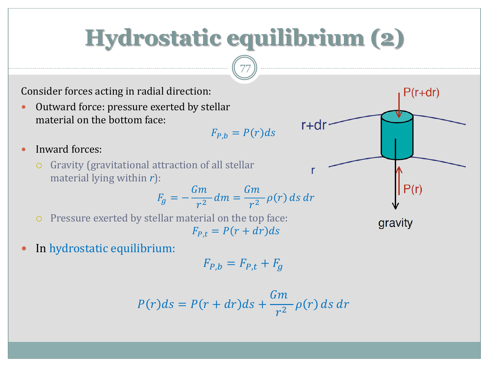### **Hydrostatic equilibrium (2)**

77

Consider forces acting in radial direction:

 Outward force: pressure exerted by stellar material on the bottom face:

$$
F_{P,b} = P(r)ds
$$

r+dr

- Inward forces:
	- Gravity (gravitational attraction of all stellar material lying within *r*):

$$
F_g = -\frac{Gm}{r^2} dm = \frac{Gm}{r^2} \rho(r) ds dr
$$

 Pressure exerted by stellar material on the top face:  $F_{P,t} = P(r + dr)ds$ 

gravity

 $P(r)$ 

 $P(r+dr)$ 

• In hydrostatic equilibrium:

$$
F_{P,b} = F_{P,t} + F_g
$$

$$
P(r)ds = P(r+dr)ds + \frac{Gm}{r^2} \rho(r) ds dr
$$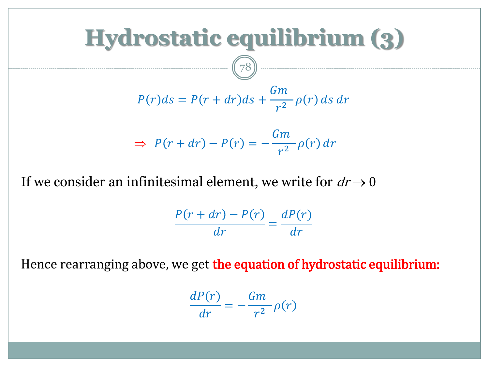

If we consider an infinitesimal element, we write for  $dr \rightarrow 0$ 

$$
\frac{P(r+dr)-P(r)}{dr}=\frac{dP(r)}{dr}
$$

Hence rearranging above, we get the equation of hydrostatic equilibrium:

$$
\frac{dP(r)}{dr} = -\frac{Gm}{r^2} \rho(r)
$$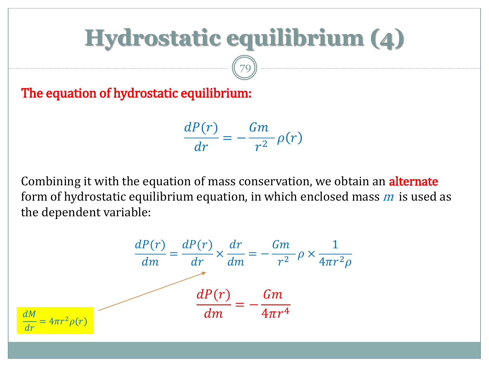### **Hydrostatic equilibrium (4)**

79

The equation of hydrostatic equilibrium:

 $dP(r)$  $\, dr \,$ = −  $Gm$  $\frac{1}{r^2} \rho(r)$ 

Combining it with the equation of mass conservation, we obtain an **alternate** form of hydrostatic equilibrium equation, in which enclosed mass  $m$  is used as the dependent variable:

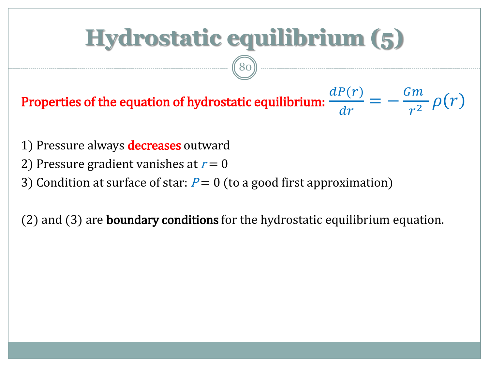# **Hydrostatic equilibrium (5)**

80

Properties of the equation of hydrostatic equilibrium:  $dP(r)$  $\frac{dr}{ }$ = −  $Gm$  $\frac{m}{r^2} \rho(r)$ 

- 1) Pressure always **decreases** outward
- 2) Pressure gradient vanishes at  $r = 0$
- 3) Condition at surface of star:  $P = 0$  (to a good first approximation)

(2) and (3) are **boundary conditions** for the hydrostatic equilibrium equation.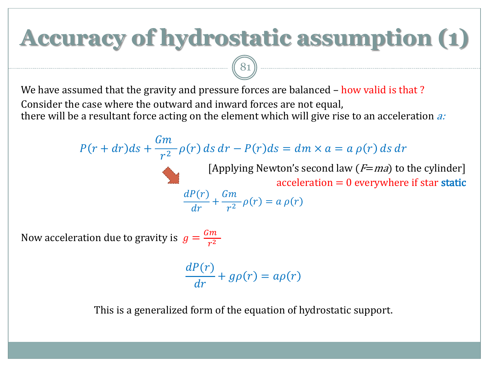# **Accuracy of hydrostatic assumption (1)**

We have assumed that the gravity and pressure forces are balanced – how valid is that? Consider the case where the outward and inward forces are not equal, there will be a resultant force acting on the element which will give rise to an acceleration  $a$ :

81

$$
P(r + dr)ds + \frac{Gm}{r^2} \rho(r) ds dr - P(r)ds = dm \times a = a \rho(r) ds dr
$$
  
\n[Applying Newton's second law (*F*=*ma*) to the cylinder]  
\nacceleration = 0 everywhere if star static  
\n
$$
\frac{dP(r)}{dr} + \frac{Gm}{r^2} \rho(r) = a \rho(r)
$$

Now acceleration due to gravity is  $g = \frac{Gm}{r^2}$  $r^2$ 

> $dP(r)$  $\frac{d^2y}{dr^2} + g\rho(r) = a\rho(r)$

This is a generalized form of the equation of hydrostatic support.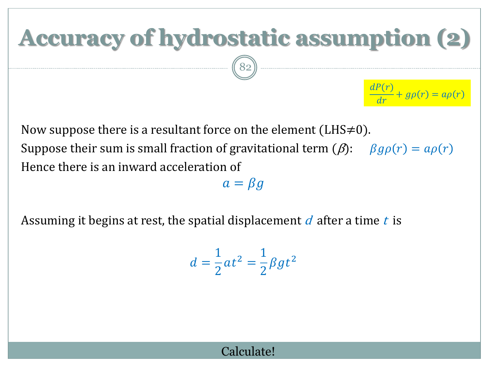# **Accuracy of hydrostatic assumption (2)**

82

 $dP(r)$  $\frac{d^2y}{dr^2} + g\rho(r) = a\rho(r)$ 

Now suppose there is a resultant force on the element (LHS $\neq$ 0). Suppose their sum is small fraction of gravitational term  $(\beta)$ :  $\beta g \rho(r) = a \rho(r)$ Hence there is an inward acceleration of

 $a = \beta g$ 

Assuming it begins at rest, the spatial displacement  $d$  after a time t is

$$
d = \frac{1}{2}at^2 = \frac{1}{2}\beta gt^2
$$

#### Calculate!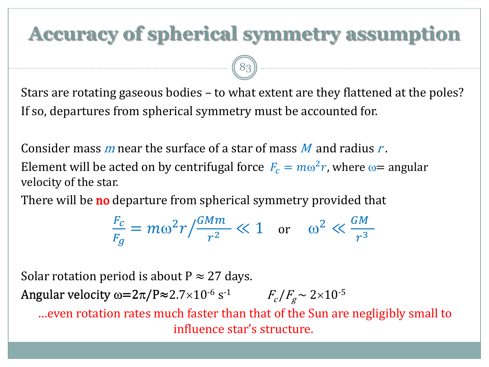#### **Accuracy of spherical symmetry assumption**

Stars are rotating gaseous bodies – to what extent are they flattened at the poles? If so, departures from spherical symmetry must be accounted for.

Consider mass m near the surface of a star of mass M and radius  $r$ .

83

Element will be acted on by centrifugal force  $F_c = m\omega^2 r$ , where  $\omega$  = angular velocity of the star.

There will be **no** departure from spherical symmetry provided that

$$
\frac{F_c}{F_g} = m\omega^2 r / \frac{GMm}{r^2} \ll 1 \quad \text{or} \quad \omega^2 \ll \frac{GM}{r^3}
$$

Solar rotation period is about  $P \approx 27$  days.

Angular velocity  $\omega{=}2\pi/\text{P}{\approx}2.7{\times}10^{\text{-}6} \text{ s}$  $F_c / F_g \sim 2 \times 10^{-5}$ 

…even rotation rates much faster than that of the Sun are negligibly small to influence star's structure.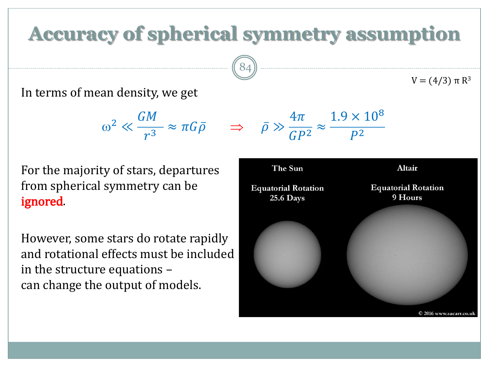#### **Accuracy of spherical symmetry assumption**

 $\begin{pmatrix} 8 & 4 \end{pmatrix}$ 

 $4\pi$ 

 $GP<sup>2</sup>$ 

≈



 $\omega^2 \ll$  $GM$  $\frac{1}{r^3} \approx \pi G \bar{\rho} \Rightarrow \bar{\rho} \gg$ 

For the majority of stars, departures from spherical symmetry can be ignored.

However, some stars do rotate rapidly and rotational effects must be included in the structure equations – can change the output of models.

The Sun Altair **Equatorial Rotation Equatorial Rotation** 9 Hours **25.6 Days** © 2016 www.sacarr.co.ul

 $1.9 \times 10^{8}$ 

 $P^2$ 

 $V = (4/3)$  π  $R^3$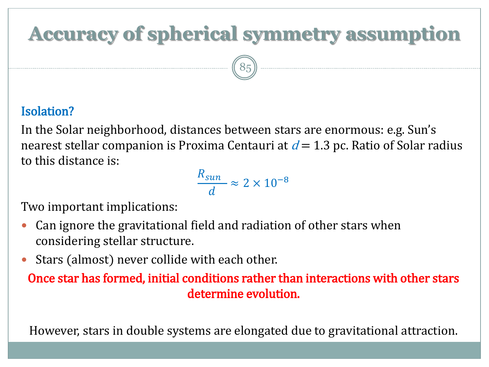#### **Accuracy of spherical symmetry assumption**

 $(85)$ 

#### Isolation?

In the Solar neighborhood, distances between stars are enormous: e.g. Sun's nearest stellar companion is Proxima Centauri at  $d = 1.3$  pc. Ratio of Solar radius to this distance is:

> $R_{sun}$ ⅆ  $\approx 2 \times 10^{-8}$

Two important implications:

- Can ignore the gravitational field and radiation of other stars when considering stellar structure.
- Stars (almost) never collide with each other.
	- Once star has formed, initial conditions rather than interactions with other stars determine evolution.

However, stars in double systems are elongated due to gravitational attraction.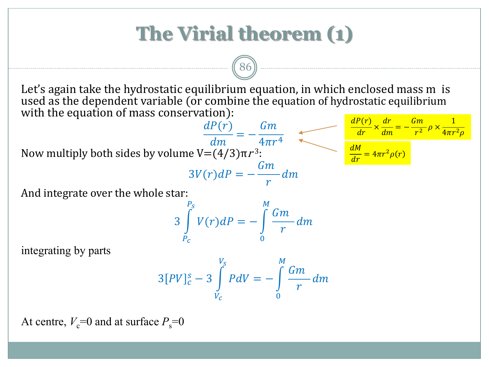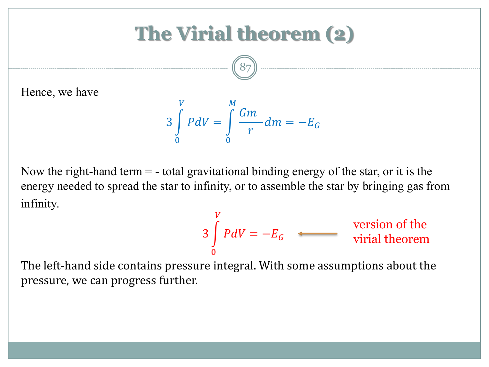#### **The Virial theorem (2)**

![](_page_18_Picture_1.jpeg)

Hence, we have

$$
3\int\limits_{0}^{V} PdV = \int\limits_{0}^{M} \frac{Gm}{r} dm = -E_{G}
$$

Now the right-hand term  $=$  - total gravitational binding energy of the star, or it is the energy needed to spread the star to infinity, or to assemble the star by bringing gas from infinity.

$$
3\int_{0}^{V} P dV = -E_G
$$
 *version of the*  
virial theorem

The left-hand side contains pressure integral. With some assumptions about the pressure, we can progress further.